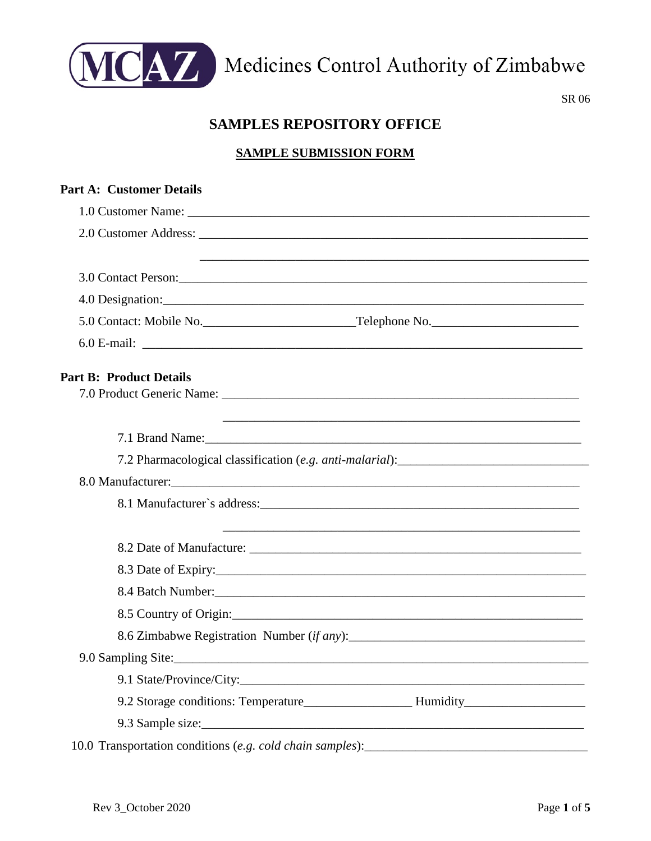

MCAZ Medicines Control Authority of Zimbabwe

SR 06

# **SAMPLES REPOSITORY OFFICE**

### **SAMPLE SUBMISSION FORM**

| <b>Part A: Customer Details</b>                                                   |                                                                                   |
|-----------------------------------------------------------------------------------|-----------------------------------------------------------------------------------|
|                                                                                   |                                                                                   |
|                                                                                   |                                                                                   |
|                                                                                   |                                                                                   |
|                                                                                   |                                                                                   |
|                                                                                   |                                                                                   |
|                                                                                   |                                                                                   |
|                                                                                   |                                                                                   |
| <b>Part B: Product Details</b>                                                    |                                                                                   |
|                                                                                   |                                                                                   |
|                                                                                   |                                                                                   |
|                                                                                   |                                                                                   |
|                                                                                   |                                                                                   |
|                                                                                   |                                                                                   |
|                                                                                   |                                                                                   |
|                                                                                   |                                                                                   |
|                                                                                   |                                                                                   |
|                                                                                   |                                                                                   |
|                                                                                   |                                                                                   |
|                                                                                   |                                                                                   |
|                                                                                   |                                                                                   |
|                                                                                   |                                                                                   |
|                                                                                   |                                                                                   |
|                                                                                   | 9.2 Storage conditions: Temperature________________________Humidity______________ |
|                                                                                   |                                                                                   |
| 10.0 Transportation conditions (e.g. cold chain samples): _______________________ |                                                                                   |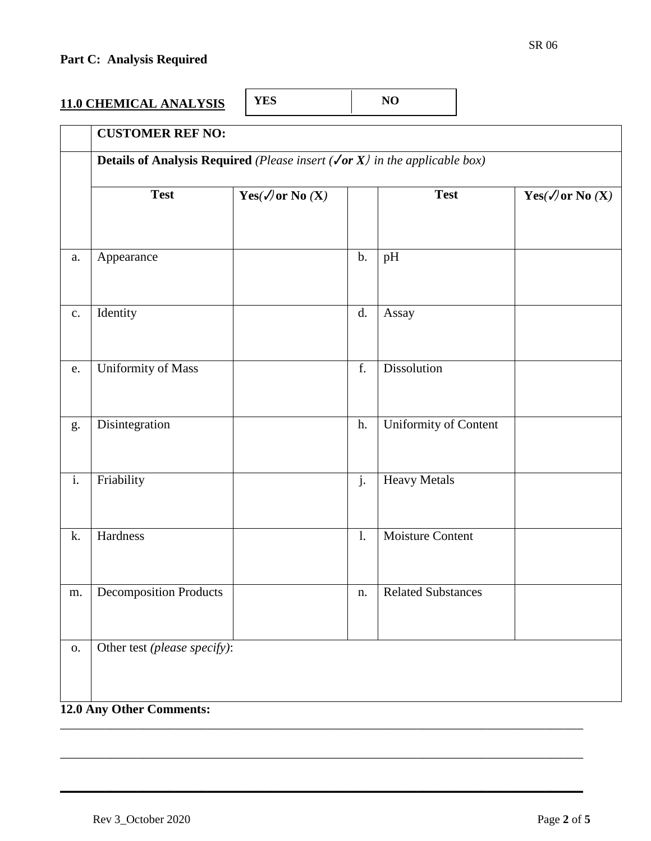# **Part C: Analysis Required**

| <b>YSIS</b><br><b>11.0 CHEMICAL ANALY</b> | ம |  |
|-------------------------------------------|---|--|
|-------------------------------------------|---|--|

|                  | <b>Details of Analysis Required</b> (Please insert $(\sqrt{or X})$ in the applicable box) |                                |                |                           |                                                               |  |  |
|------------------|-------------------------------------------------------------------------------------------|--------------------------------|----------------|---------------------------|---------------------------------------------------------------|--|--|
|                  | <b>Test</b>                                                                               | Yes( $\mathcal{N}$ or No $(X)$ |                | <b>Test</b>               | $\mathbf{Yes}(\boldsymbol{\mathcal{N}})$ or No $(\mathbf{X})$ |  |  |
| a.               | Appearance                                                                                |                                | $\mathbf b$ .  | pH                        |                                                               |  |  |
| $\mathbf{c}$ .   | Identity                                                                                  |                                | d.             | Assay                     |                                                               |  |  |
| e.               | <b>Uniformity of Mass</b>                                                                 |                                | f.             | <b>Dissolution</b>        |                                                               |  |  |
| g.               | Disintegration                                                                            |                                | h.             | Uniformity of Content     |                                                               |  |  |
| $\overline{i}$ . | Friability                                                                                |                                | j.             | <b>Heavy Metals</b>       |                                                               |  |  |
| k.               | Hardness                                                                                  |                                | $\mathbf{1}$ . | <b>Moisture Content</b>   |                                                               |  |  |
| m.               | <b>Decomposition Products</b>                                                             |                                | n.             | <b>Related Substances</b> |                                                               |  |  |
| 0.               | Other test (please specify):                                                              |                                |                |                           |                                                               |  |  |

\_\_\_\_\_\_\_\_\_\_\_\_\_\_\_\_\_\_\_\_\_\_\_\_\_\_\_\_\_\_\_\_\_\_\_\_\_\_\_\_\_\_\_\_\_\_\_\_\_\_\_\_\_\_\_\_\_\_\_\_\_\_\_\_\_\_\_\_\_\_\_\_\_\_\_\_\_\_\_\_\_\_

**\_\_\_\_\_\_\_\_\_\_\_\_\_\_\_\_\_\_\_\_\_\_\_\_\_\_\_\_\_\_\_\_\_\_\_\_\_\_\_\_\_\_\_\_\_\_\_\_\_\_\_\_\_\_\_\_\_\_\_\_\_\_\_\_\_\_\_\_\_\_\_\_\_\_\_\_\_\_\_\_\_\_**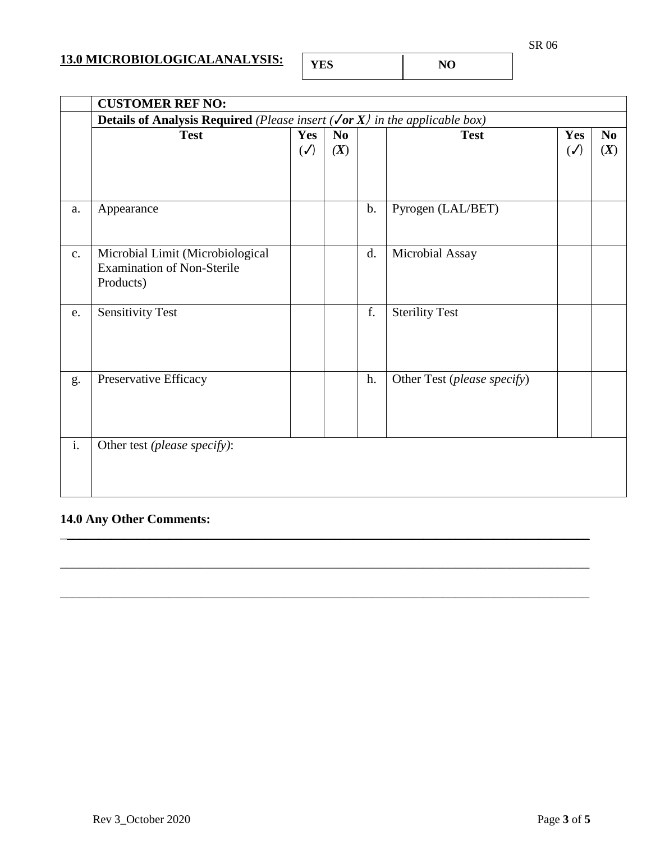### **13.0 MICROBIOLOGICALANALYSIS:**

|--|

**NO** 

|                | <b>CUSTOMER REF NO:</b>                                                                                       |                       |                               |    |                             |                       |                 |
|----------------|---------------------------------------------------------------------------------------------------------------|-----------------------|-------------------------------|----|-----------------------------|-----------------------|-----------------|
|                | <b>Details of Analysis Required</b> (Please insert ( <b><math>\sqrt{or X}</math></b> ) in the applicable box) |                       |                               |    |                             |                       |                 |
|                | <b>Test</b>                                                                                                   | Yes<br>$(\checkmark)$ | $\mathbf{N}\mathbf{0}$<br>(X) |    | <b>Test</b>                 | Yes<br>$(\checkmark)$ | $\bf No$<br>(X) |
| a.             | Appearance                                                                                                    |                       |                               | b. | Pyrogen (LAL/BET)           |                       |                 |
| $\mathbf{c}$ . | Microbial Limit (Microbiological<br><b>Examination of Non-Sterile</b><br>Products)                            |                       |                               | d. | Microbial Assay             |                       |                 |
| e.             | <b>Sensitivity Test</b>                                                                                       |                       |                               | f. | <b>Sterility Test</b>       |                       |                 |
| g.             | Preservative Efficacy                                                                                         |                       |                               | h. | Other Test (please specify) |                       |                 |
| $\mathbf{i}$ . | Other test (please specify):                                                                                  |                       |                               |    |                             |                       |                 |

\_\_\_\_\_\_\_\_\_\_\_\_\_\_\_\_\_\_\_\_\_\_\_\_\_\_\_\_\_\_\_\_\_\_\_\_\_\_\_\_\_\_\_\_\_\_\_\_\_\_\_\_\_\_\_\_\_\_\_\_\_\_\_\_\_\_\_\_\_\_\_\_\_\_\_\_\_\_\_\_\_\_\_

\_\_\_\_\_\_\_\_\_\_\_\_\_\_\_\_\_\_\_\_\_\_\_\_\_\_\_\_\_\_\_\_\_\_\_\_\_\_\_\_\_\_\_\_\_\_\_\_\_\_\_\_\_\_\_\_\_\_\_\_\_\_\_\_\_\_\_\_\_\_\_\_\_\_\_\_\_\_\_\_\_\_\_

\_\_\_\_\_\_\_\_\_\_\_\_\_\_\_\_\_\_\_\_\_\_\_\_\_\_\_\_\_\_\_\_\_\_\_\_\_\_\_\_\_\_\_\_\_\_\_\_\_\_\_\_\_\_\_\_\_\_\_\_\_\_\_\_\_\_\_\_\_\_\_\_\_\_\_\_\_\_\_\_\_\_\_

### **14.0 Any Other Comments:**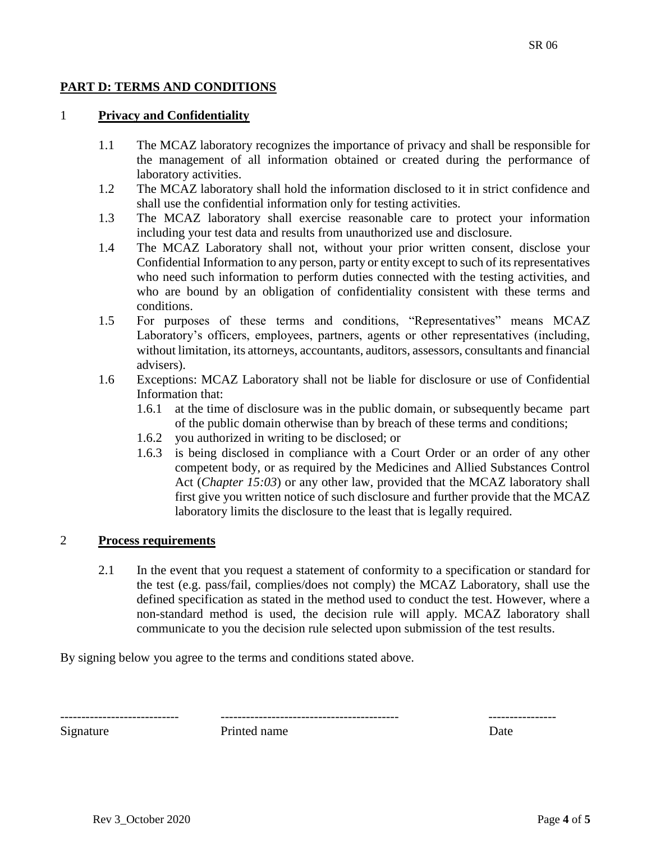### **PART D: TERMS AND CONDITIONS**

#### 1 **Privacy and Confidentiality**

- 1.1 The MCAZ laboratory recognizes the importance of privacy and shall be responsible for the management of all information obtained or created during the performance of laboratory activities.
- 1.2 The MCAZ laboratory shall hold the information disclosed to it in strict confidence and shall use the confidential information only for testing activities.
- 1.3 The MCAZ laboratory shall exercise reasonable care to protect your information including your test data and results from unauthorized use and disclosure.
- 1.4 The MCAZ Laboratory shall not, without your prior written consent, disclose your Confidential Information to any person, party or entity except to such of its representatives who need such information to perform duties connected with the testing activities, and who are bound by an obligation of confidentiality consistent with these terms and conditions.
- 1.5 For purposes of these terms and conditions, "Representatives" means MCAZ Laboratory's officers, employees, partners, agents or other representatives (including, without limitation, its attorneys, accountants, auditors, assessors, consultants and financial advisers).
- 1.6 Exceptions: MCAZ Laboratory shall not be liable for disclosure or use of Confidential Information that:
	- 1.6.1 at the time of disclosure was in the public domain, or subsequently became part of the public domain otherwise than by breach of these terms and conditions;
	- 1.6.2 you authorized in writing to be disclosed; or
	- 1.6.3 is being disclosed in compliance with a Court Order or an order of any other competent body, or as required by the Medicines and Allied Substances Control Act (*Chapter 15:03*) or any other law, provided that the MCAZ laboratory shall first give you written notice of such disclosure and further provide that the MCAZ laboratory limits the disclosure to the least that is legally required.

#### 2 **Process requirements**

2.1 In the event that you request a statement of conformity to a specification or standard for the test (e.g. pass/fail, complies/does not comply) the MCAZ Laboratory, shall use the defined specification as stated in the method used to conduct the test. However, where a non-standard method is used, the decision rule will apply. MCAZ laboratory shall communicate to you the decision rule selected upon submission of the test results.

By signing below you agree to the terms and conditions stated above.

---------------------------- ------------------------------------------ ----------------

Signature **Printed name** Date **Date**